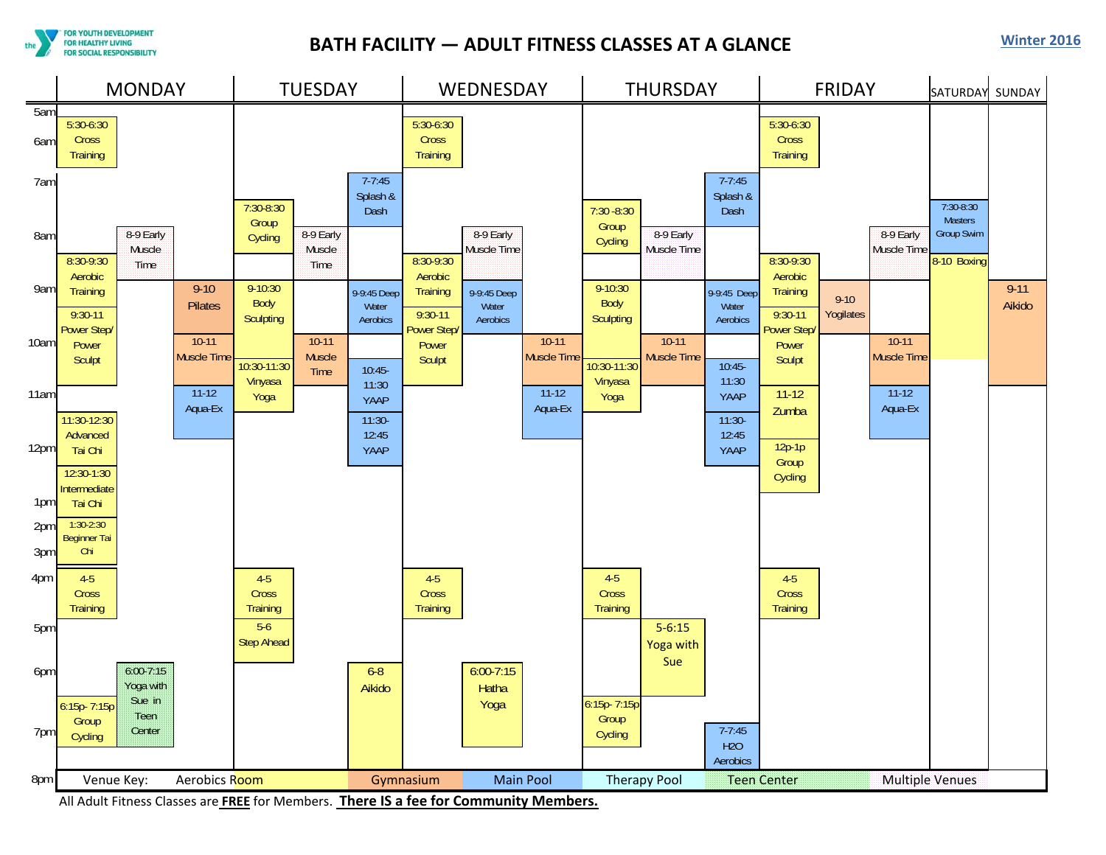**FOR YOUTH DEVELOPMENT** FOR HEALTHY LIVING **FOR SOCIAL RESPONSIBILITY** 

## **BATH FACILITY — ADULT FITNESS CLASSES AT A GLANCE Winter <sup>2016</sup>**



All Adult Fitness Classes are **FREE** for Members. **There IS <sup>a</sup> fee for Community Members.**